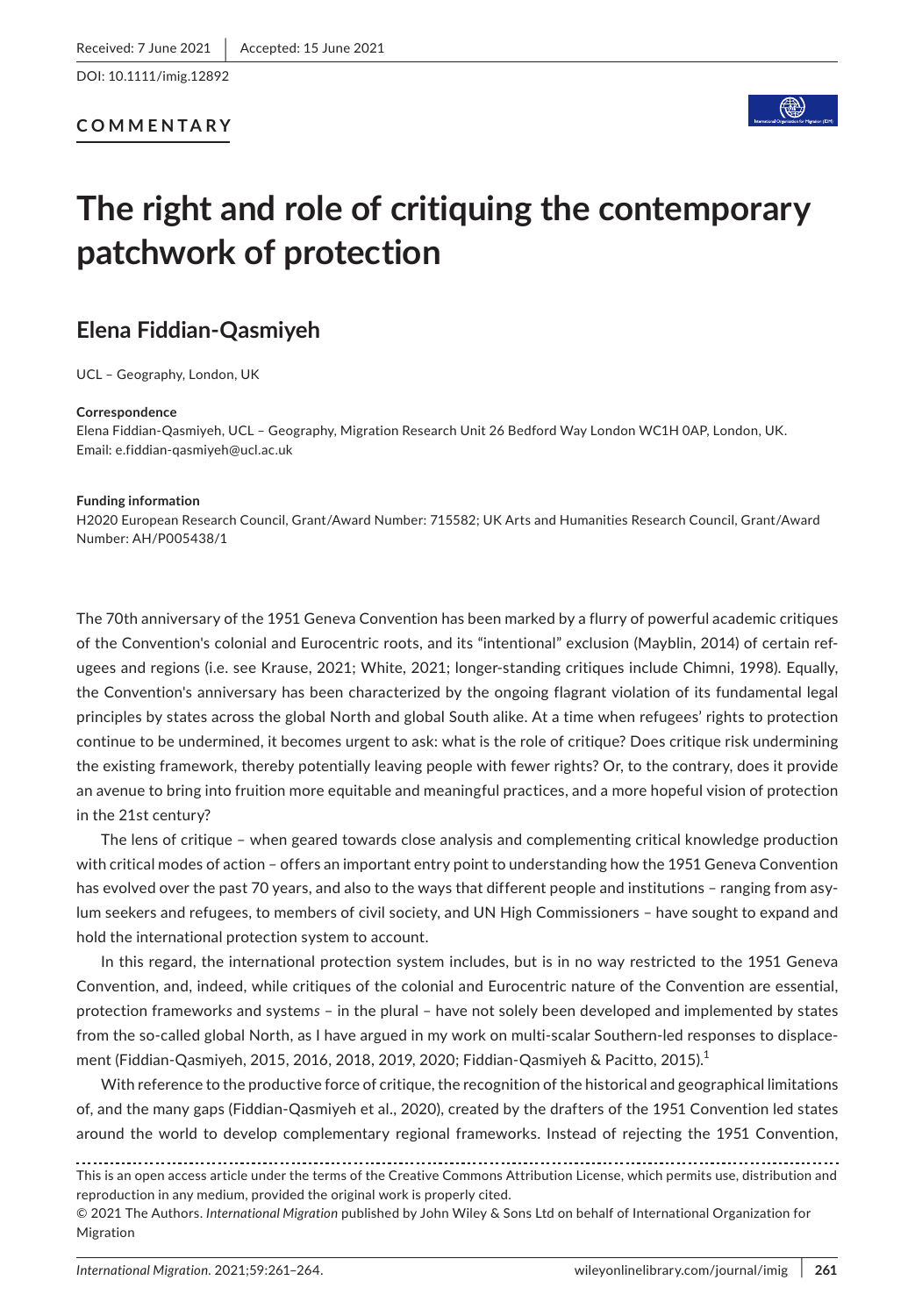### **COMMENTARY**



# **The right and role of critiquing the contemporary patchwork of protection**

# **Elena Fiddian-Qasmiyeh**

UCL – Geography, London, UK

#### **Correspondence**

Elena Fiddian-Qasmiyeh, UCL – Geography, Migration Research Unit 26 Bedford Way London WC1H 0AP, London, UK. Email: [e.fiddian-qasmiyeh@ucl.ac.uk](mailto:e.fiddian-qasmiyeh@ucl.ac.uk)

#### **Funding information**

H2020 European Research Council, Grant/Award Number: 715582; UK Arts and Humanities Research Council, Grant/Award Number: AH/P005438/1

The 70th anniversary of the 1951 Geneva Convention has been marked by a flurry of powerful academic critiques of the Convention's colonial and Eurocentric roots, and its "intentional" exclusion (Mayblin, 2014) of certain refugees and regions (i.e. see Krause, 2021; White, 2021; longer-standing critiques include Chimni, 1998). Equally, the Convention's anniversary has been characterized by the ongoing flagrant violation of its fundamental legal principles by states across the global North and global South alike. At a time when refugees' rights to protection continue to be undermined, it becomes urgent to ask: what is the role of critique? Does critique risk undermining the existing framework, thereby potentially leaving people with fewer rights? Or, to the contrary, does it provide an avenue to bring into fruition more equitable and meaningful practices, and a more hopeful vision of protection in the 21st century?

The lens of critique – when geared towards close analysis and complementing critical knowledge production with critical modes of action – offers an important entry point to understanding how the 1951 Geneva Convention has evolved over the past 70 years, and also to the ways that different people and institutions – ranging from asylum seekers and refugees, to members of civil society, and UN High Commissioners – have sought to expand and hold the international protection system to account.

In this regard, the international protection system includes, but is in no way restricted to the 1951 Geneva Convention, and, indeed, while critiques of the colonial and Eurocentric nature of the Convention are essential, protection framework*s* and system*s* – in the plural – have not solely been developed and implemented by states from the so-called global North, as I have argued in my work on multi-scalar Southern-led responses to displacement (Fiddian-Qasmiyeh, 2015, 2016, 2018, 2019, 2020; Fiddian-Qasmiyeh & Pacitto, 2015).<sup>1</sup>

With reference to the productive force of critique, the recognition of the historical and geographical limitations of, and the many gaps (Fiddian-Qasmiyeh et al., 2020), created by the drafters of the 1951 Convention led states around the world to develop complementary regional frameworks. Instead of rejecting the 1951 Convention,

This is an open access article under the terms of the [Creative Commons Attribution](http://creativecommons.org/licenses/by/4.0/) License, which permits use, distribution and reproduction in any medium, provided the original work is properly cited.

<sup>© 2021</sup> The Authors. *International Migration* published by John Wiley & Sons Ltd on behalf of International Organization for **Migration**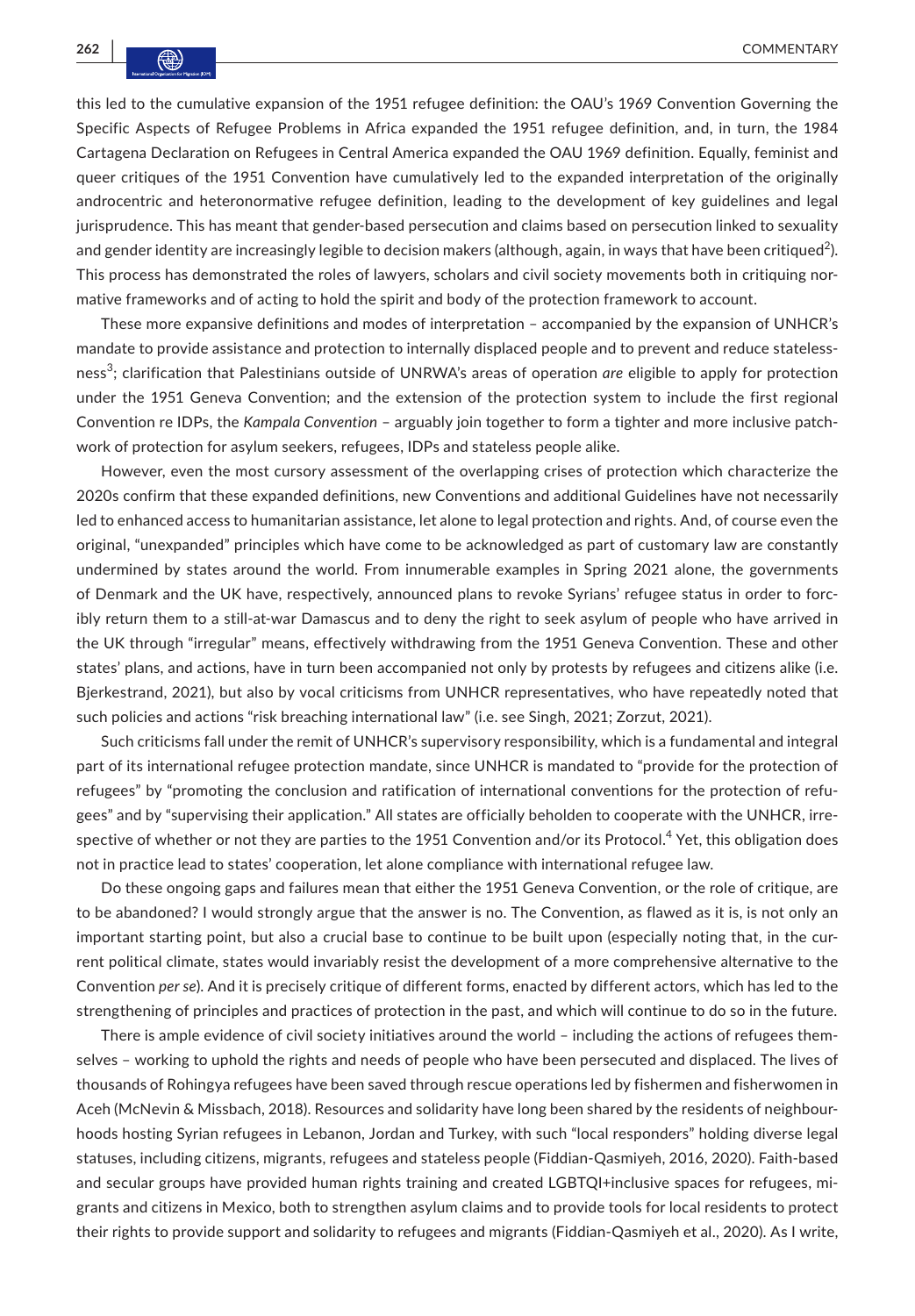this led to the cumulative expansion of the 1951 refugee definition: the OAU's 1969 Convention Governing the Specific Aspects of Refugee Problems in Africa expanded the 1951 refugee definition, and, in turn, the 1984 Cartagena Declaration on Refugees in Central America expanded the OAU 1969 definition. Equally, feminist and queer critiques of the 1951 Convention have cumulatively led to the expanded interpretation of the originally androcentric and heteronormative refugee definition, leading to the development of key guidelines and legal jurisprudence. This has meant that gender-based persecution and claims based on persecution linked to sexuality and gender identity are increasingly legible to decision makers (although, again, in ways that have been critiqued $^2$ ). This process has demonstrated the roles of lawyers, scholars and civil society movements both in critiquing normative frameworks and of acting to hold the spirit and body of the protection framework to account.

These more expansive definitions and modes of interpretation – accompanied by the expansion of UNHCR's mandate to provide assistance and protection to internally displaced people and to prevent and reduce statelessness<sup>3</sup> ; clarification that Palestinians outside of UNRWA's areas of operation *are* eligible to apply for protection under the 1951 Geneva Convention; and the extension of the protection system to include the first regional Convention re IDPs, the *Kampala Convention* – arguably join together to form a tighter and more inclusive patchwork of protection for asylum seekers, refugees, IDPs and stateless people alike.

However, even the most cursory assessment of the overlapping crises of protection which characterize the 2020s confirm that these expanded definitions, new Conventions and additional Guidelines have not necessarily led to enhanced access to humanitarian assistance, let alone to legal protection and rights. And, of course even the original, "unexpanded" principles which have come to be acknowledged as part of customary law are constantly undermined by states around the world. From innumerable examples in Spring 2021 alone, the governments of Denmark and the UK have, respectively, announced plans to revoke Syrians' refugee status in order to forcibly return them to a still-at-war Damascus and to deny the right to seek asylum of people who have arrived in the UK through "irregular" means, effectively withdrawing from the 1951 Geneva Convention. These and other states' plans, and actions, have in turn been accompanied not only by protests by refugees and citizens alike (i.e. Bjerkestrand, 2021), but also by vocal criticisms from UNHCR representatives, who have repeatedly noted that such policies and actions "risk breaching international law" (i.e. see Singh, 2021; Zorzut, 2021).

Such criticisms fall under the remit of UNHCR's supervisory responsibility, which is a fundamental and integral part of its international refugee protection mandate, since UNHCR is mandated to "provide for the protection of refugees" by "promoting the conclusion and ratification of international conventions for the protection of refugees" and by "supervising their application." All states are officially beholden to cooperate with the UNHCR, irrespective of whether or not they are parties to the 1951 Convention and/or its Protocol. $^4$  Yet, this obligation does not in practice lead to states' cooperation, let alone compliance with international refugee law.

Do these ongoing gaps and failures mean that either the 1951 Geneva Convention, or the role of critique, are to be abandoned? I would strongly argue that the answer is no. The Convention, as flawed as it is, is not only an important starting point, but also a crucial base to continue to be built upon (especially noting that, in the current political climate, states would invariably resist the development of a more comprehensive alternative to the Convention *per se*). And it is precisely critique of different forms, enacted by different actors, which has led to the strengthening of principles and practices of protection in the past, and which will continue to do so in the future.

There is ample evidence of civil society initiatives around the world – including the actions of refugees themselves – working to uphold the rights and needs of people who have been persecuted and displaced. The lives of thousands of Rohingya refugees have been saved through rescue operations led by fishermen and fisherwomen in Aceh (McNevin & Missbach, 2018). Resources and solidarity have long been shared by the residents of neighbourhoods hosting Syrian refugees in Lebanon, Jordan and Turkey, with such "local responders" holding diverse legal statuses, including citizens, migrants, refugees and stateless people (Fiddian-Qasmiyeh, 2016, 2020). Faith-based and secular groups have provided human rights training and created LGBTQI+inclusive spaces for refugees, migrants and citizens in Mexico, both to strengthen asylum claims and to provide tools for local residents to protect their rights to provide support and solidarity to refugees and migrants (Fiddian-Qasmiyeh et al., 2020). As I write,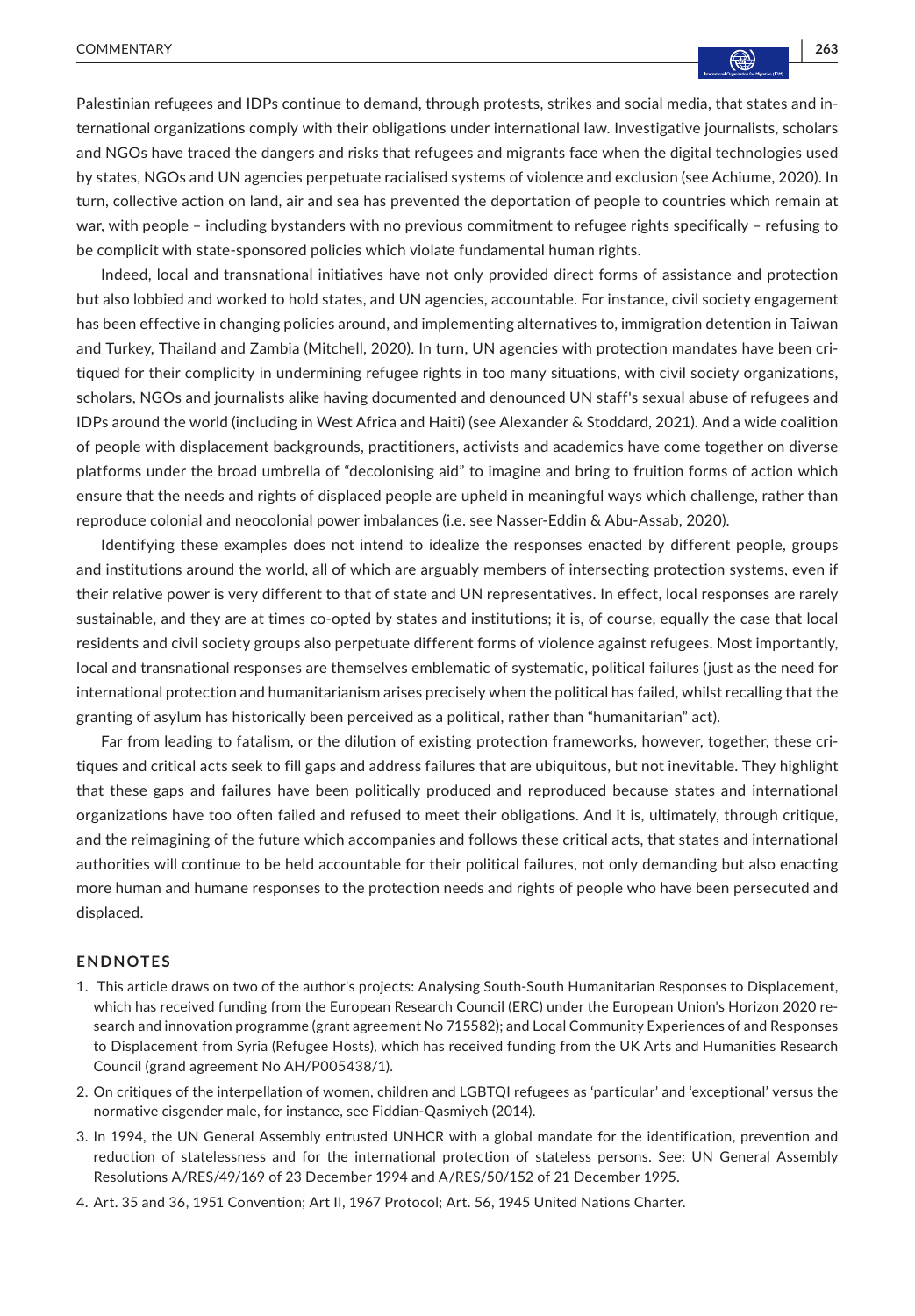Palestinian refugees and IDPs continue to demand, through protests, strikes and social media, that states and international organizations comply with their obligations under international law. Investigative journalists, scholars and NGOs have traced the dangers and risks that refugees and migrants face when the digital technologies used by states, NGOs and UN agencies perpetuate racialised systems of violence and exclusion (see Achiume, 2020). In turn, collective action on land, air and sea has prevented the deportation of people to countries which remain at war, with people - including bystanders with no previous commitment to refugee rights specifically - refusing to be complicit with state-sponsored policies which violate fundamental human rights.

Indeed, local and transnational initiatives have not only provided direct forms of assistance and protection but also lobbied and worked to hold states, and UN agencies, accountable. For instance, civil society engagement has been effective in changing policies around, and implementing alternatives to, immigration detention in Taiwan and Turkey, Thailand and Zambia (Mitchell, 2020). In turn, UN agencies with protection mandates have been critiqued for their complicity in undermining refugee rights in too many situations, with civil society organizations, scholars, NGOs and journalists alike having documented and denounced UN staff's sexual abuse of refugees and IDPs around the world (including in West Africa and Haiti) (see Alexander & Stoddard, 2021). And a wide coalition of people with displacement backgrounds, practitioners, activists and academics have come together on diverse platforms under the broad umbrella of "decolonising aid" to imagine and bring to fruition forms of action which ensure that the needs and rights of displaced people are upheld in meaningful ways which challenge, rather than reproduce colonial and neocolonial power imbalances (i.e. see Nasser-Eddin & Abu-Assab, 2020).

Identifying these examples does not intend to idealize the responses enacted by different people, groups and institutions around the world, all of which are arguably members of intersecting protection systems, even if their relative power is very different to that of state and UN representatives. In effect, local responses are rarely sustainable, and they are at times co-opted by states and institutions; it is, of course, equally the case that local residents and civil society groups also perpetuate different forms of violence against refugees. Most importantly, local and transnational responses are themselves emblematic of systematic, political failures (just as the need for international protection and humanitarianism arises precisely when the political has failed, whilst recalling that the granting of asylum has historically been perceived as a political, rather than "humanitarian" act).

Far from leading to fatalism, or the dilution of existing protection frameworks, however, together, these critiques and critical acts seek to fill gaps and address failures that are ubiquitous, but not inevitable. They highlight that these gaps and failures have been politically produced and reproduced because states and international organizations have too often failed and refused to meet their obligations. And it is, ultimately, through critique, and the reimagining of the future which accompanies and follows these critical acts, that states and international authorities will continue to be held accountable for their political failures, not only demanding but also enacting more human and humane responses to the protection needs and rights of people who have been persecuted and displaced.

## **ENDNOTES**

- 1. This article draws on two of the author's projects: Analysing South-South Humanitarian Responses to Displacement, which has received funding from the European Research Council (ERC) under the European Union's Horizon 2020 research and innovation programme (grant agreement No 715582); and Local Community Experiences of and Responses to Displacement from Syria (Refugee Hosts), which has received funding from the UK Arts and Humanities Research Council (grand agreement No AH/P005438/1).
- 2. On critiques of the interpellation of women, children and LGBTQI refugees as 'particular' and 'exceptional' versus the normative cisgender male, for instance, see Fiddian-Qasmiyeh (2014).
- 3. In 1994, the UN General Assembly entrusted UNHCR with a global mandate for the identification, prevention and reduction of statelessness and for the international protection of stateless persons. See: UN General Assembly Resolutions A/RES/49/169 of 23 December 1994 and A/RES/50/152 of 21 December 1995.
- 4. Art. 35 and 36, 1951 Convention; Art II, 1967 Protocol; Art. 56, 1945 United Nations Charter.